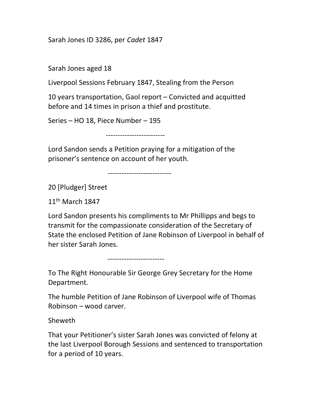Sarah Jones ID 3286, per Cadet 1847

Sarah Jones aged 18

Liverpool Sessions February 1847, Stealing from the Person

10 years transportation, Gaol report – Convicted and acquitted before and 14 times in prison a thief and prostitute.

Series – HO 18, Piece Number – 195

-------------------------

Lord Sandon sends a Petition praying for a mitigation of the prisoner's sentence on account of her youth.

---------------------------

20 [Pludger] Street

11th March 1847

Lord Sandon presents his compliments to Mr Phillipps and begs to transmit for the compassionate consideration of the Secretary of State the enclosed Petition of Jane Robinson of Liverpool in behalf of her sister Sarah Jones.

------------------------

To The Right Honourable Sir George Grey Secretary for the Home Department.

The humble Petition of Jane Robinson of Liverpool wife of Thomas Robinson – wood carver.

Sheweth

That your Petitioner's sister Sarah Jones was convicted of felony at the last Liverpool Borough Sessions and sentenced to transportation for a period of 10 years.